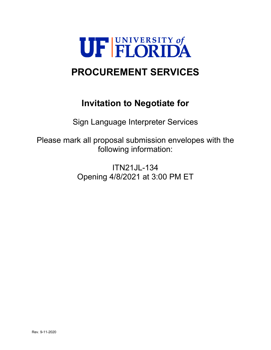

# **PROCUREMENT SERVICES**

# **Invitation to Negotiate for**

Sign Language Interpreter Services

Please mark all proposal submission envelopes with the following information:

> ITN21JL-134 Opening 4/8/2021 at 3:00 PM ET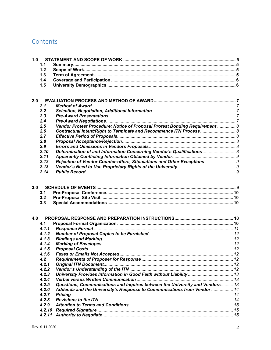# Contents

| 1.0 |        |                                                                              |  |
|-----|--------|------------------------------------------------------------------------------|--|
|     | 1.1    |                                                                              |  |
|     | 1.2    |                                                                              |  |
|     | 1.3    |                                                                              |  |
|     | 1.4    |                                                                              |  |
|     | 1.5    |                                                                              |  |
|     |        |                                                                              |  |
| 2.0 |        |                                                                              |  |
|     | 2.1    |                                                                              |  |
|     | 2.2    |                                                                              |  |
|     | 2.3    |                                                                              |  |
|     | 2.4    |                                                                              |  |
|     | 2.5    | Vendor Protest Procedure; Notice of Proposal Protest Bonding Requirement  8  |  |
|     | 2.6    | Contractual Intent/Right to Terminate and Recommence ITN Process 8           |  |
|     | 2.7    |                                                                              |  |
|     | 2.8    |                                                                              |  |
|     | 2.9    |                                                                              |  |
|     | 2.10   | Determination of and Information Concerning Vendor's Qualifications  8       |  |
|     | 2.11   |                                                                              |  |
|     | 2.12   | Rejection of Vendor Counter-offers, Stipulations and Other Exceptions  9     |  |
|     | 2.13   |                                                                              |  |
|     | 2.14   |                                                                              |  |
| 3.0 | 3.1    |                                                                              |  |
|     | 3.2    |                                                                              |  |
|     | 3.3    |                                                                              |  |
| 4.0 |        |                                                                              |  |
|     | 4.1    |                                                                              |  |
|     | 4.1.1  |                                                                              |  |
|     | 4.1.2  |                                                                              |  |
|     | 4.1.3  |                                                                              |  |
|     | 4.1.4  |                                                                              |  |
|     | 4.1.5  |                                                                              |  |
|     | 4.1.6  |                                                                              |  |
|     | 4.2    |                                                                              |  |
|     | 4.2.1  |                                                                              |  |
|     | 4.2.2  |                                                                              |  |
|     | 4.2.3  |                                                                              |  |
|     | 4.2.4  |                                                                              |  |
|     | 4.2.5  | Questions, Communications and Inquires between the University and Vendors 13 |  |
|     | 4.2.6  | Addenda and the University's Response to Communications from Vendor  14      |  |
|     | 4.2.7  |                                                                              |  |
|     | 4.2.8  |                                                                              |  |
|     | 4.2.9  |                                                                              |  |
|     | 4.2.10 |                                                                              |  |
|     | 4.2.11 |                                                                              |  |
|     |        |                                                                              |  |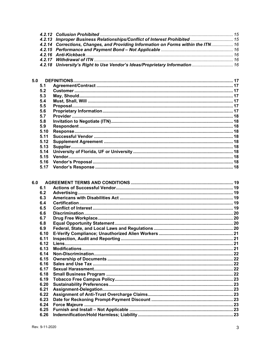| 4.2.13 Improper Business Relationships/Conflict of Interest Prohibited  15        |  |
|-----------------------------------------------------------------------------------|--|
| 4.2.14 Corrections, Changes, and Providing Information on Forms within the ITN 16 |  |
|                                                                                   |  |
|                                                                                   |  |
|                                                                                   |  |
| 4.2.18 University's Right to Use Vendor's Ideas/Proprietary Information 16        |  |
|                                                                                   |  |

| 5.0 |      |  |
|-----|------|--|
|     | 5.1  |  |
|     | 5.2  |  |
|     | 5.3  |  |
|     | 5.4  |  |
|     | 5.5  |  |
|     | 5.6  |  |
|     | 5.7  |  |
|     | 5.8  |  |
|     | 5.9  |  |
|     | 5.10 |  |
|     | 5.11 |  |
|     | 5.12 |  |
|     | 5.13 |  |
|     | 5.14 |  |
|     | 5.15 |  |
|     | 5.16 |  |
|     | 5.17 |  |
|     |      |  |

| 6.0 |      |  |
|-----|------|--|
|     | 6.1  |  |
|     | 6.2  |  |
|     | 6.3  |  |
|     | 6.4  |  |
|     | 6.5  |  |
|     | 6.6  |  |
|     | 6.7  |  |
|     | 6.8  |  |
|     | 6.9  |  |
|     | 6.10 |  |
|     | 6.11 |  |
|     | 6.12 |  |
|     | 6.13 |  |
|     | 6.14 |  |
|     | 6.15 |  |
|     | 6.16 |  |
|     | 6.17 |  |
|     | 6.18 |  |
|     | 6.19 |  |
|     | 6.20 |  |
|     | 6.21 |  |
|     | 6.22 |  |
|     | 6.23 |  |
|     | 6.24 |  |
|     | 6.25 |  |
|     | 6.26 |  |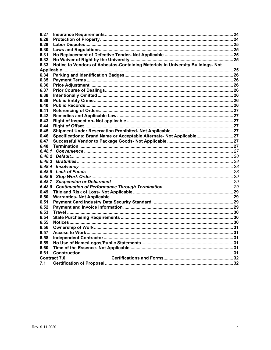| 6.27   |                                                                                 |  |
|--------|---------------------------------------------------------------------------------|--|
| 6.28   |                                                                                 |  |
| 6.29   |                                                                                 |  |
| 6.30   |                                                                                 |  |
| 6.31   |                                                                                 |  |
| 6.32   |                                                                                 |  |
| 6.33   | Notice to Vendors of Asbestos-Containing Materials in University Buildings- Not |  |
|        |                                                                                 |  |
| 6.34   |                                                                                 |  |
| 6.35   |                                                                                 |  |
| 6.36   |                                                                                 |  |
| 6.37   |                                                                                 |  |
| 6.38   |                                                                                 |  |
| 6.39   |                                                                                 |  |
| 6.40   |                                                                                 |  |
| 6.41   |                                                                                 |  |
| 6.42   |                                                                                 |  |
|        |                                                                                 |  |
| 6.43   |                                                                                 |  |
| 6.44   |                                                                                 |  |
| 6.45   |                                                                                 |  |
| 6.46   | Specifications: Brand Name or Acceptable Alternate- Not Applicable 27           |  |
| 6.47   |                                                                                 |  |
| 6.48   |                                                                                 |  |
| 6,48,1 |                                                                                 |  |
| 6.48.2 |                                                                                 |  |
| 6.48.3 |                                                                                 |  |
| 6.48.4 |                                                                                 |  |
| 6.48.5 |                                                                                 |  |
| 6.48.6 |                                                                                 |  |
| 6.48.7 |                                                                                 |  |
| 6,48.8 |                                                                                 |  |
| 6.49   |                                                                                 |  |
| 6.50   |                                                                                 |  |
| 6.51   |                                                                                 |  |
| 6.52   |                                                                                 |  |
| 6.53   |                                                                                 |  |
| 6.54   |                                                                                 |  |
| 6.55   |                                                                                 |  |
| 6.56   |                                                                                 |  |
| 6.57   |                                                                                 |  |
| 6.58   |                                                                                 |  |
| 6.59   |                                                                                 |  |
|        |                                                                                 |  |
| 6.60   |                                                                                 |  |
| 6.61   |                                                                                 |  |
|        | <b>Contract 7.0</b>                                                             |  |
| 7.1    |                                                                                 |  |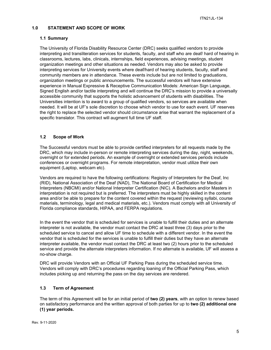## <span id="page-4-0"></span>**1.0 STATEMENT AND SCOPE OF WORK**

## <span id="page-4-1"></span>**1.1 Summary**

The University of Florida Disability Resource Center (DRC) seeks qualified vendors to provide interpreting and transliteration services for students, faculty, and staff who are deaf/ hard of hearing in classrooms, lectures, labs, clinicals, internships, field experiences, advising meetings, student organization meetings and other situations as needed. Vendors may also be asked to provide interpreting services for University events where deaf/hard of hearing students, faculty, staff and community members are in attendance. These events include but are not limited to graduations, organization meetings or public announcements. The successful vendors will have extensive experience in Manual Expressive & Receptive Communication Models: American Sign Language, Signed English and/or tactile interpreting and will continue the DRC's mission to provide a universally accessible community that supports the holistic advancement of students with disabilities. The Universities intention is to award to a group of qualified vendors, so services are available when needed. It will be at UF's sole discretion to choose which vendor to use for each event. UF reserves the right to replace the selected vendor should circumstance arise that warrant the replacement of a specific translator. This contract will augment full time UF staff.

## <span id="page-4-2"></span>**1.2 Scope of Work**

The Successful vendors must be able to provide certified interpreters for all requests made by the DRC, which may include in-person or remote interpreting services during the day, night, weekends, overnight or for extended periods. An example of overnight or extended services periods include conferences or overnight programs. For remote interpretation, vendor must utilize their own equipment (Laptop, webcam etc).

Vendors are required to have the following certifications: Registry of Interpreters for the Deaf, Inc (RID), National Association of the Deaf (NAD), The National Board of Certification for Medical Interpreters (NBCMI) and/or National Interpreter Certification (NIC). A Bachelors and/or Masters in interpretation is not required but is preferred. The interpreters must be highly skilled in the content area and/or be able to prepare for the content covered within the request (reviewing syllabi, course materials, terminology, legal and medical materials, etc.). Vendors must comply with all University of Florida compliance standards, HIPAA, and FERPA regulations.

In the event the vendor that is scheduled for services is unable to fulfill their duties and an alternate interpreter is not available, the vendor must contact the DRC at least three (3) days prior to the scheduled service to cancel and allow UF time to schedule with a different vendor. In the event the vendor that is scheduled for the services is unable to fulfill their duties but they have an alternate interpreter available, the vendor must contact the DRC at least two (2) hours prior to the scheduled service and provide the alternate interpreters information. If no alternate is available, UF will assess a no-show charge.

DRC will provide Vendors with an Official UF Parking Pass during the scheduled service time. Vendors will comply with DRC's procedures regarding loaning of the Official Parking Pass, which includes picking up and returning the pass on the day services are rendered.

## <span id="page-4-3"></span>**1.3 Term of Agreement**

The term of this Agreement will be for an initial period of **two (2) years**, with an option to renew based on satisfactory performance and the written approval of both parties for up to **two (2) additional one (1) year periods.**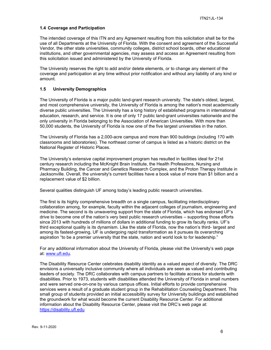## <span id="page-5-0"></span>**1.4 Coverage and Participation**

The intended coverage of this ITN and any Agreement resulting from this solicitation shall be for the use of all Departments at the University of Florida. With the consent and agreement of the Successful Vendor, the other state universities, community colleges, district school boards, other educational institutions, and other governmental agencies, may assess and access an Agreement resulting from this solicitation issued and administered by the University of Florida.

The University reserves the right to add and/or delete elements, or to change any element of the coverage and participation at any time without prior notification and without any liability of any kind or amount.

## <span id="page-5-1"></span>**1.5 University Demographics**

The University of Florida is a major public land-grant research university. The state's oldest, largest, and most comprehensive university, the University of Florida is among the nation's most academically diverse public universities. The University has a long history of established programs in international education, research, and service. It is one of only 17 public land-grant universities nationwide and the only university in Florida belonging to the Association of American Universities. With more than 50,000 students, the University of Florida is now one of the five largest universities in the nation.

The University of Florida has a 2,000-acre campus and more than 900 buildings (including 170 with classrooms and laboratories). The northeast corner of campus is listed as a historic district on the National Register of Historic Places.

The University's extensive capital improvement program has resulted in facilities ideal for 21st century research including the McKnight Brain Institute, the Health Professions, Nursing and Pharmacy Building, the Cancer and Genetics Research Complex, and the Proton Therapy Institute in Jacksonville. Overall, the university's current facilities have a book value of more than \$1 billion and a replacement value of \$2 billion.

Several qualities distinguish UF among today's leading public research universities.

The first is its highly comprehensive breadth on a single campus, facilitating interdisciplinary collaboration among, for example, faculty within the adjacent colleges of journalism, engineering and medicine. The second is its unwavering support from the state of Florida, which has endorsed UF's drive to become one of the nation's very best public research universities – supporting those efforts since 2013 with hundreds of millions of dollars in additional funding to grow its faculty ranks. UF's third exceptional quality is its dynamism. Like the state of Florida, now the nation's third- largest and among its fastest-growing, UF is undergoing rapid transformation as it pursues its overarching aspiration "to be a premier university that the state, nation and world look to for leadership."

For any additional information about the University of Florida, please visit the University's web page at: [www.ufl.edu.](http://www.ufl.edu/)

The Disability Resource Center celebrates disability identity as a valued aspect of diversity. The DRC envisions a universally inclusive community where all individuals are seen as valued and contributing leaders of society. The DRC collaborates with campus partners to facilitate access for students with disabilities. Prior to 1973, students with disabilities attended the University of Florida in small numbers and were served one-on-one by various campus offices. Initial efforts to provide comprehensive services were a result of a graduate student group in the Rehabilitation Counseling Department. This small group of students provided an initial accessibility survey for University buildings and established the groundwork for what would become the current Disability Resource Center. For additional information about the Disability Resource Center, please visit the DRC's web page at: [https://disability.ufl.edu](https://disability.ufl.edu/)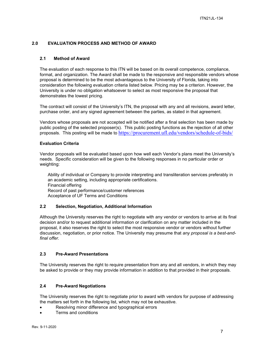## <span id="page-6-0"></span>**2.0 EVALUATION PROCESS AND METHOD OF AWARD**

## <span id="page-6-1"></span>**2.1 Method of Award**

The evaluation of each response to this ITN will be based on its overall competence, compliance, format, and organization. The Award shall be made to the responsive and responsible vendors whose proposal is determined to be the most advantageous to the University of Florida, taking into consideration the following evaluation criteria listed below. Pricing may be a criterion. However, the University is under no obligation whatsoever to select as most responsive the proposal that demonstrates the lowest pricing.

The contract will consist of the University's ITN, the proposal with any and all revisions, award letter, purchase order, and any signed agreement between the parties, as stated in that agreement.

Vendors whose proposals are not accepted will be notified after a final selection has been made by public posting of the selected proposer(s). This public posting functions as the rejection of all other proposals. This posting will be made to <https://procurement.ufl.edu/vendors/schedule-of-bids/>

## **Evaluation Criteria**

Vendor proposals will be evaluated based upon how well each Vendor's plans meet the University's needs. Specific consideration will be given to the following responses in no particular order or weighting:

Ability of individual or Company to provide interpreting and transliteration services preferably in an academic setting, including appropriate certifications. Financial offering Record of past performance/customer references Acceptance of UF Terms and Conditions

## <span id="page-6-2"></span>**2.2 Selection, Negotiation, Additional Information**

Although the University reserves the right to negotiate with any vendor or vendors to arrive at its final decision and/or to request additional information or clarification on any matter included in the proposal, it also reserves the right to select the most responsive vendor or vendors without further discussion, negotiation, or prior notice. The University may presume that *any proposal is a best-andfinal offer.*

## <span id="page-6-3"></span>**2.3 Pre-Award Presentations**

The University reserves the right to require presentation from any and all vendors, in which they may be asked to provide or they may provide information in addition to that provided in their proposals.

## <span id="page-6-4"></span>**2.4 Pre-Award Negotiations**

The University reserves the right to negotiate prior to award with vendors for purpose of addressing the matters set forth in the following list, which may not be exhaustive.

- Resolving minor difference and typographical errors
- Terms and conditions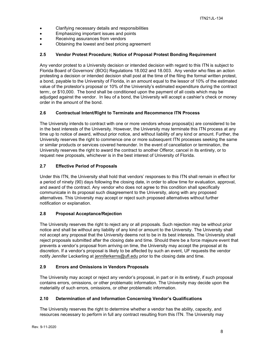- Clarifying necessary details and responsibilities
- Emphasizing important issues and points
- Receiving assurances from vendors
- Obtaining the lowest and best pricing agreement

## <span id="page-7-0"></span>**2.5 Vendor Protest Procedure; Notice of Proposal Protest Bonding Requirement**

Any vendor protest to a University decision or intended decision with regard to this ITN is subject to Florida Board of Governors' (BOG) Regulations 18.002 and 18.003. Any vendor who files an action protesting a decision or intended decision shall post at the time of the filing the formal written protest, a bond, payable to the University of Florida, in an amount equal to the lessor of 10% of the estimated value of the protestor's proposal or 10% of the University's estimated expenditure during the contract term:, or \$10,000. The bond shall be conditioned upon the payment of all costs which may be adjudged against the vendor. In lieu of a bond, the University will accept a cashier's check or money order in the amount of the bond.

## <span id="page-7-1"></span>**2.6 Contractual Intent/Right to Terminate and Recommence ITN Process**

The University intends to contract with one or more vendors whose proposal(s) are considered to be in the best interests of the University. However, the University may terminate this ITN process at any time up to notice of award, without prior notice, and without liability of any kind or amount. Further, the University reserves the right to commence one or more subsequent ITN processes seeking the same or similar products or services covered hereunder. In the event of cancellation or termination, the University reserves the right to award the contract to another Offeror, cancel in its entirety, or to request new proposals, whichever is in the best interest of University of Florida.

## <span id="page-7-2"></span>**2.7 Effective Period of Proposals**

Under this ITN, the University shall hold that vendors' responses to this ITN shall remain in effect for a period of ninety (90) days following the closing date, in order to allow time for evaluation, approval, and award of the contract. Any vendor who does not agree to this condition shall specifically communicate in its proposal such disagreement to the University, along with any proposed alternatives. This University may accept or reject such proposed alternatives without further notification or explanation.

## <span id="page-7-3"></span>**2.8 Proposal Acceptance/Rejection**

The University reserves the right to reject any or all proposals. Such rejection may be without prior notice and shall be without any liability of any kind or amount to the University. The University shall not accept any proposal that the University deems not to be in its best interests. The University shall reject proposals submitted after the closing date and time. Should there be a force majeure event that prevents a vendor's proposal from arriving on time, the University may accept the proposal at its discretion. If a vendor's proposal is likely to be affected by such an event, UF requests the vendor notify Jennifer Leckerling at [jenniferkerns@ufl.edu](mailto:jenniferkerns@ufl.edu) prior to the closing date and time.

## <span id="page-7-4"></span>**2.9 Errors and Omissions in Vendors Proposals**

The University may accept or reject any vendor's proposal, in part or in its entirety, if such proposal contains errors, omissions, or other problematic information. The University may decide upon the materiality of such errors, omissions, or other problematic information.

## <span id="page-7-5"></span>**2.10 Determination of and Information Concerning Vendor's Qualifications**

The University reserves the right to determine whether a vendor has the ability, capacity, and resources necessary to perform in full any contract resulting from this ITN. The University may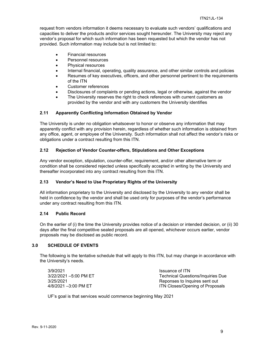request from vendors information it deems necessary to evaluate such vendors' qualifications and capacities to deliver the products and/or services sought hereunder. The University may reject any vendor's proposal for which such information has been requested but which the vendor has not provided. Such information may include but is not limited to:

- Financial resources
- Personnel resources
- Physical resources
- Internal financial, operating, quality assurance, and other similar controls and policies
- Resumes of key executives, officers, and other personnel pertinent to the requirements of the ITN
- Customer references
- Disclosures of complaints or pending actions, legal or otherwise, against the vendor
- The University reserves the right to check references with current customers as provided by the vendor and with any customers the University identifies

#### <span id="page-8-0"></span>**2.11 Apparently Conflicting Information Obtained by Vendor**

The University is under no obligation whatsoever to honor or observe any information that may apparently conflict with any provision herein, regardless of whether such information is obtained from any office, agent, or employee of the University. Such information shall not affect the vendor's risks or obligations under a contract resulting from this ITN.

#### <span id="page-8-1"></span>**2.12 Rejection of Vendor Counter-offers, Stipulations and Other Exceptions**

Any vendor exception, stipulation, counter-offer, requirement, and/or other alternative term or condition shall be considered rejected unless specifically accepted in writing by the University and thereafter incorporated into any contract resulting from this ITN.

### <span id="page-8-2"></span>**2.13 Vendor's Need to Use Proprietary Rights of the University**

All information proprietary to the University and disclosed by the University to any vendor shall be held in confidence by the vendor and shall be used only for purposes of the vendor's performance under any contract resulting from this ITN.

#### <span id="page-8-3"></span>**2.14 Public Record**

On the earlier of (i) the time the University provides notice of a decision or intended decision, or (ii) 30 days after the final competitive sealed proposals are all opened, whichever occurs earlier, vendor proposals may be disclosed as public record.

## <span id="page-8-4"></span>**3.0 SCHEDULE OF EVENTS**

The following is the tentative schedule that will apply to this ITN, but may change in accordance with the University's needs.

3/9/2021<br>3/22/2021 –5:00 PM ET Technical Quest

Technical Questions/Inquiries Due 3/25/2021 Reponses to Inquires sent out 4/8/2021 –3:00 PM ET **ITN** Closes/Opening of Proposals

UF's goal is that services would commence beginning May 2021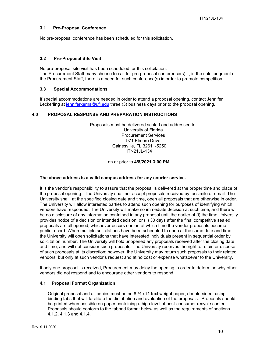## <span id="page-9-0"></span>**3.1 Pre-Proposal Conference**

No pre-proposal conference has been scheduled for this solicitation.

## <span id="page-9-1"></span>**3.2 Pre-Proposal Site Visit**

No pre-proposal site visit has been scheduled for this solicitation. The Procurement Staff many choose to call for pre-proposal conference(s) if, in the sole judgment of the Procurement Staff, there is a need for such conference(s) in order to promote competition.

## <span id="page-9-2"></span>**3.3 Special Accommodations**

If special accommodations are needed in order to attend a proposal opening, contact Jennifer Leckerling at [jenniferkerns@ufl.edu](mailto:jenniferkerns@ufl.edu) three (3) business days prior to the proposal opening.

## <span id="page-9-3"></span>**4.0 PROPOSAL RESPONSE AND PREPARATION INSTRUCTIONS**

Proposals must be delivered sealed and addressed to: University of Florida Procurement Services 971 Elmore Drive Gainesville, FL 32611-5250 ITN21JL-134

on or prior to **4/8/2021 3:00 PM**.

## **The above address is a valid campus address for any courier service.**

It is the vendor's responsibility to assure that the proposal is delivered at the proper time and place of the proposal opening. The University shall not accept proposals received by facsimile or email. The University shall, at the specified closing date and time, open all proposals that are otherwise in order. The University will allow interested parties to attend such opening for purposes of identifying which vendors have responded. The University will make no immediate decision at such time, and there will be no disclosure of any information contained in any proposal until the earlier of (i) the time University provides notice of a decision or intended decision, or (ii) 30 days after the final competitive sealed proposals are all opened, whichever occurs earlier, at which time the vendor proposals become public record. When multiple solicitations have been scheduled to open at the same date and time, the University will open solicitations that have interested individuals present in sequential order by solicitation number. The University will hold unopened any proposals received after the closing date and time, and will not consider such proposals. The University reserves the right to retain or dispose of such proposals at its discretion; however, the University may return such proposals to their related vendors, but only at such vendor's request and at no cost or expense whatsoever to the University.

If only one proposal is received, Procurement may delay the opening in order to determine why other vendors did not respond and to encourage other vendors to respond.

## <span id="page-9-4"></span>**4.1 Proposal Format Organization**

Original proposal and all copies must be on 8-½ x11 text weight paper, double-sided, using binding tabs that will facilitate the distribution and evaluation of the proposals. Proposals should be printed when possible on paper containing a high level of post-consumer recycle content. Proposals should conform to the tabbed format below as well as the requirements of sections 4.1.2, 4.1.3 and 4.1.4.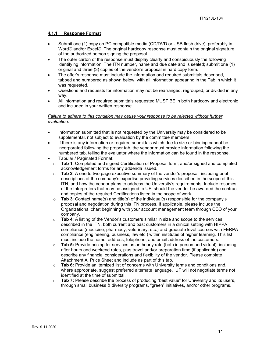## <span id="page-10-0"></span>**4.1.1 Response Format**

- Submit one (1) copy on PC compatible media (CD/DVD or USB flash drive), preferably in Word® and/or Excel®. The original hardcopy response must contain the original signature of the authorized person signing the proposal.
- The outer carton of the response must display clearly and conspicuously the following identifying information, The ITN number, name and due date and is sealed; submit one (1) original and three (3) copies of the vendor's proposal in hard copy form.
- The offer's response must include the information and required submittals described, tabbed and numbered as shown below, with all information appearing in the Tab in which it was requested.
- Questions and requests for information may not be rearranged, regrouped, or divided in any way.
- All information and required submittals requested MUST BE in both hardcopy and electronic and included in your written response.

## *Failure to adhere to this condition may cause your response to be rejected without further evaluation.*

- Information submitted that is not requested by the University may be considered to be supplemental, not subject to evaluation by the committee members.
- If there is any information or required submittals which due to size or binding cannot be incorporated following the proper tab, the vendor must provide information following the numbered tab, telling the evaluator where the information can be found in the response.
- Tabular / Paginated Format:
	- o **Tab 1**: Completed and signed Certification of Proposal form, and/or signed and completed acknowledgement forms for any addenda issued.
	- o **Tab 2**: A one to two page executive summary of the vendor's proposal, including brief descriptions of the company's expertise providing services described in the scope of this ITN, and how the vendor plans to address the University's requirements. Include resumes of the Interpreters that may be assigned to UF, should the vendor be awarded the contract and copies of the required Certifications listed in the scope of work.
	- o **Tab 3**: Contact name(s) and title(s) of the individual(s) responsible for the company's proposal and negotiation during this ITN process. If applicable, please include the Organizational chart beginning with your account management team through CEO of your company.
	- o **Tab 4**: A listing of the Vendor's customers similar in size and scope to the services described in the ITN, both current and past customers in a clinical setting with HIPPA compliance (medicine, pharmacy, veterinary, etc.) and graduate level courses with FERPA compliance (engineering, business, law etc.) within institutes of higher learning. This list must include the name, address, telephone, and email address of the customers.
	- o **Tab 5:** Provide pricing for services as an hourly rate (both in person and virtual), including after hours and weekend rates, plus travel and/or preparation time (if applicable) and describe any financial considerations and flexibility of the vendor. Please complete Attachment A, Price Sheet and include as part of this tab.
	- o **Tab 6:** Provide an itemized list of concerns with University terms and conditions and, where appropriate, suggest preferred alternate language. UF will not negotiate terms not identified at the time of submittal.
	- o **Tab 7:** Please describe the process of producing "best value" for University and its users, through small business & diversity programs, "green" initiatives, and/or other programs.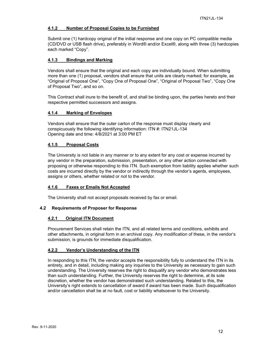## <span id="page-11-0"></span>**4.1.2 Number of Proposal Copies to be Furnished**

Submit one (1) hardcopy original of the initial response and one copy on PC compatible media (CD/DVD or USB flash drive), preferably in Word® and/or Excel®, along with three (3) hardcopies each marked "Copy".

## <span id="page-11-1"></span>**4.1.3 Bindings and Marking**

Vendors shall ensure that the original and each copy are individually bound. When submitting more than one (1) proposal, vendors shall ensure that units are clearly marked; for example, as "Original of Proposal One", "Copy One of Proposal One", "Original of Proposal Two", "Copy One of Proposal Two", and so on.

This Contract shall inure to the benefit of, and shall be binding upon, the parties hereto and their respective permitted successors and assigns.

## <span id="page-11-2"></span>**4.1.4 Marking of Envelopes**

Vendors shall ensure that the outer carton of the response must display clearly and conspicuously the following identifying information: ITN #: ITN21JL-134 Opening date and time: 4/8/2021 at 3:00 PM ET

## <span id="page-11-3"></span>**4.1.5 Proposal Costs**

The University is not liable in any manner or to any extent for any cost or expense incurred by any vendor in the preparation, submission, presentation, or any other action connected with proposing or otherwise responding to this ITN. Such exemption from liability applies whether such costs are incurred directly by the vendor or indirectly through the vendor's agents, employees, assigns or others, whether related or not to the vendor.

## <span id="page-11-4"></span>**4.1.6 Faxes or Emails Not Accepted**

The University shall not accept proposals received by fax or email.

## <span id="page-11-6"></span><span id="page-11-5"></span>**4.2 Requirements of Proposer for Response**

## **4.2.1 Original ITN Document**

Procurement Services shall retain the ITN, and all related terms and conditions, exhibits and other attachments, in original form in an archival copy. Any modification of these, in the vendor's submission, is grounds for immediate disqualification.

## <span id="page-11-7"></span>**4.2.2 Vendor's Understanding of the ITN**

In responding to this ITN, the vendor accepts the responsibility fully to understand the ITN in its entirety, and in detail, including making any inquiries to the University as necessary to gain such understanding. The University reserves the right to disqualify any vendor who demonstrates less than such understanding. Further, the University reserves the right to determine, at its sole discretion, whether the vendor has demonstrated such understanding. Related to this, the University's right extends to cancellation of award if award has been made. Such disqualification and/or cancellation shall be at no fault, cost or liability whatsoever to the University.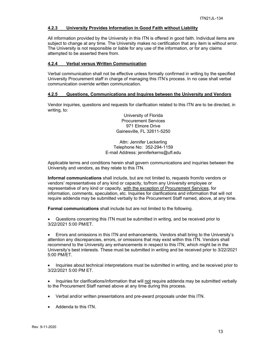## <span id="page-12-0"></span>**4.2.3 University Provides Information in Good Faith without Liability**

All information provided by the University in this ITN is offered in good faith. Individual items are subject to change at any time. The University makes no certification that any item is without error. The University is not responsible or liable for any use of the information, or for any claims attempted to be asserted there from.

## <span id="page-12-1"></span>**4.2.4 Verbal versus Written Communication**

Verbal communication shall not be effective unless formally confirmed in writing by the specified University Procurement staff in charge of managing this ITN's process. In no case shall verbal communication override written communication.

## <span id="page-12-2"></span>**4.2.5 Questions, Communications and Inquires between the University and Vendors**

Vendor inquiries, questions and requests for clarification related to this ITN are to be directed, in writing, to:

> University of Florida Procurement Services 971 Elmore Drive Gainesville, FL 32611-5250

Attn: Jennifer Leckerling Telephone No: 352-294-1159 E-mail Address: jenniferkerns@ufl.edu

Applicable terms and conditions herein shall govern communications and inquiries between the University and vendors, as they relate to this ITN.

**Informal communications** shall include, but are not limited to, requests from/to vendors or vendors' representatives of any kind or capacity, to/from any University employee or representative of any kind or capacity, with the exception of Procurement Services, for information, comments, speculation, etc. Inquiries for clarifications and information that will not require addenda may be submitted verbally to the Procurement Staff named, above, at any time.

**Formal communications** shall include but are not limited to the following.

• Questions concerning this ITN must be submitted in writing, and be received prior to 3/22/2021 5:00 PM/ET.

• Errors and omissions in this ITN and enhancements. Vendors shall bring to the University's attention any discrepancies, errors, or omissions that may exist within this ITN. Vendors shall recommend to the University any enhancements in respect to this ITN, which might be in the University's best interests. These must be submitted in writing and be received prior to 3/22/2021 5:00 PM/ET.

• Inquiries about technical interpretations must be submitted in writing, and be received prior to 3/22/2021 5:00 PM ET.

• Inquiries for clarifications/information that will not require addenda may be submitted verbally to the Procurement Staff named above at any time during this process.

- Verbal and/or written presentations and pre-award proposals under this ITN.
- Addenda to this ITN.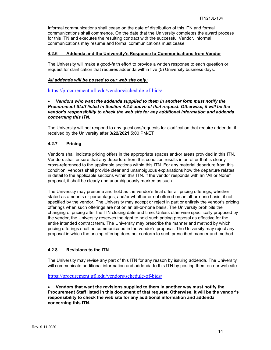Informal communications shall cease on the date of distribution of this ITN and formal communications shall commence. On the date that the University completes the award process for this ITN and executes the resulting contract with the successful Vendor, informal communications may resume and formal communications must cease.

## <span id="page-13-0"></span>**4.2.6 Addenda and the University's Response to Communications from Vendor**

The University will make a good-faith effort to provide a written response to each question or request for clarification that requires addenda within five (5) University business days.

## *All addenda will be posted to our web site only:*

<https://procurement.ufl.edu/vendors/schedule-of-bids/>

## • *Vendors who want the addenda supplied to them in another form must notify the Procurement Staff listed in Section 4.2.5 above of that request. Otherwise, it will be the vendor's responsibility to check the web site for any additional information and addenda concerning this ITN.*

The University will not respond to any questions/requests for clarification that require addenda, if received by the University after **3/22/2021** 5:00 PM/ET

## <span id="page-13-1"></span>**4.2.7 Pricing**

Vendors shall indicate pricing offers in the appropriate spaces and/or areas provided in this ITN. Vendors shall ensure that any departure from this condition results in an offer that is clearly cross-referenced to the applicable sections within this ITN. For any material departure from this condition, vendors shall provide clear and unambiguous explanations how the departure relates in detail to the applicable sections within this ITN. If the vendor responds with an "All or None" proposal, it shall be clearly and unambiguously marked as such.

The University may presume and hold as the vendor's final offer all pricing offerings, whether stated as amounts or percentages, and/or whether or not offered on an all-or-none basis, if not specified by the vendor. The University may accept or reject in part or entirely the vendor's pricing offerings when such offerings are not on an all-or-none basis. The University prohibits the changing of pricing after the ITN closing date and time. Unless otherwise specifically proposed by the vendor, the University reserves the right to hold such pricing proposal as effective for the entire intended contract term. The University may prescribe the manner and method by which pricing offerings shall be communicated in the vendor's proposal. The University may reject any proposal in which the pricing offering does not conform to such prescribed manner and method.

## <span id="page-13-2"></span>**4.2.8 Revisions to the ITN**

The University may revise any part of this ITN for any reason by issuing addenda. The University will communicate additional information and addenda to this ITN by posting them on our web site.

<https://procurement.ufl.edu/vendors/schedule-of-bids/>

• **Vendors that want the revisions supplied to them in another way must notify the Procurement Staff listed in this document of that request. Otherwise, it will be the vendor's responsibility to check the web site for any additional information and addenda concerning this ITN.**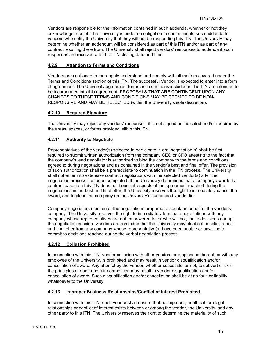Vendors are responsible for the information contained in such addenda, whether or not they acknowledge receipt. The University is under no obligation to communicate such addenda to vendors who notify the University that they will not be responding this ITN. The University may determine whether an addendum will be considered as part of this ITN and/or as part of any contract resulting there from. The University shall reject vendors' responses to addenda if such responses are received after the ITN closing date and time.

## <span id="page-14-0"></span>**4.2.9 Attention to Terms and Conditions**

Vendors are cautioned to thoroughly understand and comply with all matters covered under the Terms and Conditions section of this ITN. The successful Vendor is expected to enter into a form of agreement. The University agreement terms and conditions included in this ITN are intended to be incorporated into this agreement. PROPOSALS THAT ARE CONTINGENT UPON ANY CHANGES TO THESE TERMS AND CONDITIONS MAY BE DEEMED TO BE NON-RESPONSIVE AND MAY BE REJECTED (within the University's sole discretion).

## <span id="page-14-1"></span>**4.2.10 Required Signature**

The University may reject any vendors' response if it is not signed as indicated and/or required by the areas, spaces, or forms provided within this ITN.

## <span id="page-14-2"></span>**4.2.11 Authority to Negotiate**

Representatives of the vendor(s) selected to participate in oral negotiation(s) shall be first required to submit written authorization from the company CEO or CFO attesting to the fact that the company's lead negotiator is authorized to bind the company to the terms and conditions agreed to during negotiations and as contained in the vendor's best and final offer. The provision of such authorization shall be a prerequisite to continuation in the ITN process. The University shall not enter into extensive contract negotiations with the selected vendor(s) after the negotiation process has been completed. If the University determines that a company awarded a contract based on this ITN does not honor all aspects of the agreement reached during the negotiations in the best and final offer, the University reserves the right to immediately cancel the award, and to place the company on the University's suspended vendor list.

Company negotiators must enter the negotiations prepared to speak on behalf of the vendor's company. The University reserves the right to immediately terminate negotiations with any company whose representatives are not empowered to, or who will not, make decisions during the negotiation session. Vendors are reminded that the University may elect not to solicit a best and final offer from any company whose representative(s) have been unable or unwilling to commit to decisions reached during the verbal negotiation process.

## <span id="page-14-3"></span>**4.2.12 Collusion Prohibited**

In connection with this ITN, vendor collusion with other vendors or employees thereof, or with any employee of the University, is prohibited and may result in vendor disqualification and/or cancellation of award. Any attempt by the vendor, whether successful or not, to subvert or skirt the principles of open and fair competition may result in vendor disqualification and/or cancellation of award. Such disqualification and/or cancellation shall be at no fault or liability whatsoever to the University.

## <span id="page-14-4"></span>**4.2.13 Improper Business Relationships/Conflict of Interest Prohibited**

In connection with this ITN, each vendor shall ensure that no improper, unethical, or illegal relationships or conflict of interest exists between or among the vendor, the University, and any other party to this ITN. The University reserves the right to determine the materiality of such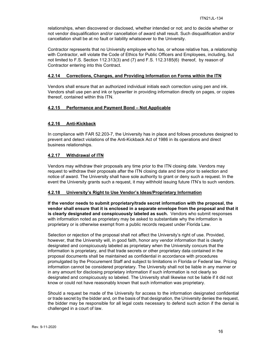relationships, when discovered or disclosed, whether intended or not; and to decide whether or not vendor disqualification and/or cancellation of award shall result. Such disqualification and/or cancellation shall be at no fault or liability whatsoever to the University.

Contractor represents that no University employee who has, or whose relative has, a relationship with Contractor, will violate the Code of Ethics for Public Officers and Employees, including, but not limited to F.S. Section 112.313(3) and (7) and F.S. 112.3185(6) thereof, by reason of Contractor entering into this Contract.

#### <span id="page-15-0"></span>**4.2.14 Corrections, Changes, and Providing Information on Forms within the ITN**

Vendors shall ensure that an authorized individual initials each correction using pen and ink. Vendors shall use pen and ink or typewriter in providing information directly on pages, or copies thereof, contained within this ITN.

## <span id="page-15-1"></span>**4.2.15 Performance and Payment Bond – Not Applicable**

## <span id="page-15-2"></span>**4.2.16 Anti-Kickback**

In compliance with FAR 52.203-7, the University has in place and follows procedures designed to prevent and detect violations of the Anti-Kickback Act of 1986 in its operations and direct business relationships.

## <span id="page-15-3"></span>**4.2.17 Withdrawal of ITN**

Vendors may withdraw their proposals any time prior to the ITN closing date. Vendors may request to withdraw their proposals after the ITN closing date and time prior to selection and notice of award. The University shall have sole authority to grant or deny such a request. In the event the University grants such a request, it may withhold issuing future ITN's to such vendors.

## <span id="page-15-4"></span>**4.2.18 University's Right to Use Vendor's Ideas/Proprietary Information**

**If the vendor needs to submit proprietary/trade secret information with the proposal, the vendor shall ensure that it is enclosed in a separate envelope from the proposal and that it is clearly designated and conspicuously labeled as such.** Vendors who submit responses with information noted as proprietary may be asked to substantiate why the information is proprietary or is otherwise exempt from a public records request under Florida Law.

Selection or rejection of the proposal shall not affect the University's right of use. Provided, however, that the University will, in good faith, honor any vendor information that is clearly designated and conspicuously labeled as proprietary when the University concurs that the information is proprietary, and that trade secrets or other proprietary data contained in the proposal documents shall be maintained as confidential in accordance with procedures promulgated by the Procurement Staff and subject to limitations in Florida or Federal law. Pricing information cannot be considered proprietary. The University shall not be liable in any manner or in any amount for disclosing proprietary information if such information is not clearly so designated and conspicuously so labeled. The University shall likewise not be liable if it did not know or could not have reasonably known that such information was proprietary.

Should a request be made of the University for access to the information designated confidential or trade secret by the bidder and, on the basis of that designation, the University denies the request, the bidder may be responsible for all legal costs necessary to defend such action if the denial is challenged in a court of law.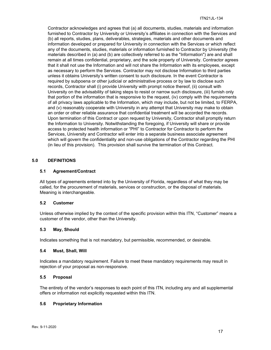Contractor acknowledges and agrees that (a) all documents, studies, materials and information furnished to Contractor by University or University's affiliates in connection with the Services and (b) all reports, studies, plans, deliverables, strategies, materials and other documents and information developed or prepared for University in connection with the Services or which reflect any of the documents, studies, materials or information furnished to Contractor by University (the materials described in (a) and (b) are collectively referred to as the "Information") are and shall remain at all times confidential, proprietary, and the sole property of University. Contractor agrees that it shall not use the Information and will not share the Information with its employees, except as necessary to perform the Services. Contractor may not disclose Information to third parties unless it obtains University's written consent to such disclosure. In the event Contractor is required by subpoena or other judicial or administrative process or by law to disclose such records, Contractor shall (i) provide University with prompt notice thereof, (ii) consult with University on the advisability of taking steps to resist or narrow such disclosure, (iii) furnish only that portion of the information that is responsive to the request, (iv) comply with the requirements of all privacy laws applicable to the Information, which may include, but not be limited, to FERPA, and (v) reasonably cooperate with University in any attempt that University may make to obtain an order or other reliable assurance that confidential treatment will be accorded the records. Upon termination of this Contract or upon request by University, Contractor shall promptly return the Information to University. Notwithstanding the foregoing, if University will share or provide access to protected health information or "PHI" to Contractor for Contractor to perform the Services, University and Contractor will enter into a separate business associate agreement which will govern the confidentiality and non-use obligations of the Contractor regarding the PHI (in lieu of this provision). This provision shall survive the termination of this Contract.

## <span id="page-16-0"></span>**5.0 DEFINITIONS**

## <span id="page-16-1"></span>**5.1 Agreement/Contract**

All types of agreements entered into by the University of Florida, regardless of what they may be called, for the procurement of materials, services or construction, or the disposal of materials. Meaning is interchangeable.

## <span id="page-16-2"></span>**5.2 Customer**

Unless otherwise implied by the context of the specific provision within this ITN, "Customer" means a customer of the vendor, other than the University.

## <span id="page-16-3"></span>**5.3 May, Should**

Indicates something that is not mandatory, but permissible, recommended, or desirable.

## <span id="page-16-4"></span>**5.4 Must, Shall, Will**

Indicates a mandatory requirement. Failure to meet these mandatory requirements may result in rejection of your proposal as non-responsive.

## <span id="page-16-5"></span>**5.5 Proposal**

The entirety of the vendor's responses to each point of this ITN, including any and all supplemental offers or information not explicitly requested within this ITN.

## <span id="page-16-6"></span>**5.6 Proprietary Information**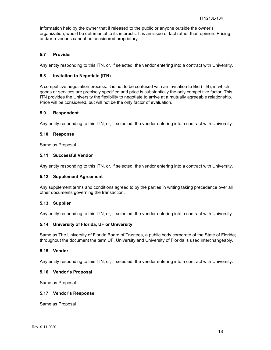Information held by the owner that if released to the public or anyone outside the owner's organization, would be detrimental to its interests. It is an issue of fact rather than opinion. Pricing and/or revenues cannot be considered proprietary.

## <span id="page-17-0"></span>**5.7 Provider**

Any entity responding to this ITN, or, if selected, the vendor entering into a contract with University.

## <span id="page-17-1"></span>**5.8 Invitation to Negotiate (ITN)**

A competitive negotiation process. It is not to be confused with an Invitation to Bid (ITB), in which goods or services are precisely specified and price is substantially the only competitive factor. This ITN provides the University the flexibility to negotiate to arrive at a mutually agreeable relationship. Price will be considered, but will not be the only factor of evaluation.

## <span id="page-17-2"></span>**5.9 Respondent**

Any entity responding to this ITN, or, if selected, the vendor entering into a contract with University.

#### <span id="page-17-3"></span>**5.10 Response**

Same as Proposal

## <span id="page-17-4"></span>**5.11 Successful Vendor**

Any entity responding to this ITN, or, if selected, the vendor entering into a contract with University.

#### <span id="page-17-5"></span>**5.12 Supplement Agreement**

Any supplement terms and conditions agreed to by the parties in writing taking precedence over all other documents governing the transaction.

## <span id="page-17-6"></span>**5.13 Supplier**

Any entity responding to this ITN, or, if selected, the vendor entering into a contract with University.

## <span id="page-17-7"></span>**5.14 University of Florida, UF or University**

Same as The University of Florida Board of Trustees, a public body corporate of the State of Florida; throughout the document the term UF, University and University of Florida is used interchangeably.

## <span id="page-17-8"></span>**5.15 Vendor**

Any entity responding to this ITN, or, if selected, the vendor entering into a contract with University.

## <span id="page-17-9"></span>**5.16 Vendor's Proposal**

Same as Proposal

## <span id="page-17-10"></span>**5.17 Vendor's Response**

Same as Proposal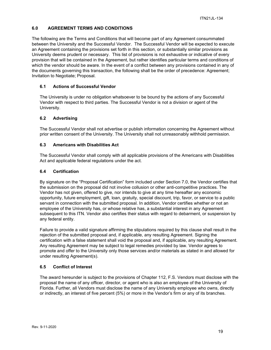## <span id="page-18-0"></span>**6.0 AGREEMENT TERMS AND CONDITIONS**

The following are the Terms and Conditions that will become part of any Agreement consummated between the University and the Successful Vendor. The Successful Vendor will be expected to execute an Agreement containing the provisions set forth in this section, or substantially similar provisions as University deems prudent or necessary. This list of provisions is not exhaustive or indicative of every provision that will be contained in the Agreement, but rather identifies particular terms and conditions of which the vendor should be aware. In the event of a conflict between any provisions contained in any of the documents governing this transaction, the following shall be the order of precedence: Agreement; Invitation to Negotiate; Proposal.

## <span id="page-18-1"></span>**6.1 Actions of Successful Vendor**

The University is under no obligation whatsoever to be bound by the actions of any Successful Vendor with respect to third parties. The Successful Vendor is not a division or agent of the University.

## <span id="page-18-2"></span>**6.2 Advertising**

The Successful Vendor shall not advertise or publish information concerning the Agreement without prior written consent of the University. The University shall not unreasonably withhold permission.

## <span id="page-18-3"></span>**6.3 Americans with Disabilities Act**

The Successful Vendor shall comply with all applicable provisions of the Americans with Disabilities Act and applicable federal regulations under the act.

## <span id="page-18-4"></span>**6.4 Certification**

By signature on the "Proposal Certification" form included under Section 7.0, the Vendor certifies that the submission on the proposal did not involve collusion or other anti-competitive practices. The Vendor has not given, offered to give, nor intends to give at any time hereafter any economic opportunity, future employment, gift, loan, gratuity, special discount, trip, favor, or service to a public servant in connection with the submitted proposal. In addition, Vendor certifies whether or not an employee of the University has, or whose relative has, a substantial interest in any Agreement subsequent to this ITN. Vendor also certifies their status with regard to debarment, or suspension by any federal entity.

Failure to provide a valid signature affirming the stipulations required by this clause shall result in the rejection of the submitted proposal and, if applicable, any resulting Agreement. Signing the certification with a false statement shall void the proposal and, if applicable, any resulting Agreement. Any resulting Agreement may be subject to legal remedies provided by law. Vendor agrees to promote and offer to the University only those services and/or materials as stated in and allowed for under resulting Agreement(s).

## <span id="page-18-5"></span>**6.5 Conflict of Interest**

The award hereunder is subject to the provisions of Chapter 112, F.S. Vendors must disclose with the proposal the name of any officer, director, or agent who is also an employee of the University of Florida. Further, all Vendors must disclose the name of any University employee who owns, directly or indirectly, an interest of five percent (5%) or more in the Vendor's firm or any of its branches.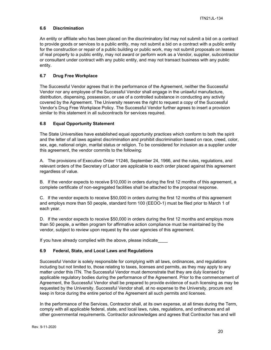## <span id="page-19-0"></span>**6.6 Discrimination**

An entity or affiliate who has been placed on the discriminatory list may not submit a bid on a contract to provide goods or services to a public entity, may not submit a bid on a contract with a public entity for the construction or repair of a public building or public work, may not submit proposals on leases of real property to a public entity, may not award or perform work as a Vendor, supplier, subcontractor or consultant under contract with any public entity, and may not transact business with any public entity.

## <span id="page-19-1"></span>**6.7 Drug Free Workplace**

The Successful Vendor agrees that in the performance of the Agreement, neither the Successful Vendor nor any employee of the Successful Vendor shall engage in the unlawful manufacture, distribution, dispensing, possession, or use of a controlled substance in conducting any activity covered by the Agreement. The University reserves the right to request a copy of the Successful Vendor's Drug Free Workplace Policy. The Successful Vendor further agrees to insert a provision similar to this statement in all subcontracts for services required.

## <span id="page-19-2"></span>**6.8 Equal Opportunity Statement**

The State Universities have established equal opportunity practices which conform to both the spirit and the letter of all laws against discrimination and prohibit discrimination based on race, creed, color, sex, age, national origin, marital status or religion. To be considered for inclusion as a supplier under this agreement, the vendor commits to the following:

A. The provisions of Executive Order 11246, September 24, 1966, and the rules, regulations, and relevant orders of the Secretary of Labor are applicable to each order placed against this agreement regardless of value.

B. If the vendor expects to receive \$10,000 in orders during the first 12 months of this agreement, a complete certificate of non-segregated facilities shall be attached to the proposal response.

C. If the vendor expects to receive \$50,000 in orders during the first 12 months of this agreement and employs more than 50 people, standard form 100 (EEOO-1) must be filed prior to March 1 of each year.

D. If the vendor expects to receive \$50,000 in orders during the first 12 months and employs more than 50 people, a written program for affirmative action compliance must be maintained by the vendor, subject to review upon request by the user agencies of this agreement.

If you have already complied with the above, please indicate

## <span id="page-19-3"></span>**6.9 Federal, State, and Local Laws and Regulations**

Successful Vendor is solely responsible for complying with all laws, ordinances, and regulations including but not limited to, those relating to taxes, licenses and permits, as they may apply to any matter under this ITN. The Successful Vendor must demonstrate that they are duly licensed by applicable regulatory bodies during the performance of the Agreement. Prior to the commencement of Agreement, the Successful Vendor shall be prepared to provide evidence of such licensing as may be requested by the University. Successful Vendor shall, at no expense to the University, procure and keep in force during the entire period of the Agreement all such permits and licenses.

In the performance of the Services, Contractor shall, at its own expense, at all times during the Term, comply with all applicable federal, state, and local laws, rules, regulations, and ordinances and all other governmental requirements. Contractor acknowledges and agrees that Contractor has and will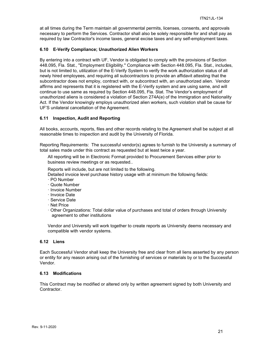at all times during the Term maintain all governmental permits, licenses, consents, and approvals necessary to perform the Services. Contractor shall also be solely responsible for and shall pay as required by law Contractor's income taxes, general excise taxes and any self-employment taxes.

## <span id="page-20-0"></span>**6.10 E-Verify Compliance; Unauthorized Alien Workers**

By entering into a contract with UF, Vendor is obligated to comply with the provisions of Section 448.095, Fla. Stat., "Employment Eligibility." Compliance with Section 448.095, Fla. Stat., includes, but is not limited to, utilization of the E-Verify System to verify the work authorization status of all newly hired employees, and requiring all subcontractors to provide an affidavit attesting that the subcontractor does not employ, contract with, or subcontract with, an unauthorized alien. Vendor affirms and represents that it is registered with the E-Verify system and are using same, and will continue to use same as required by Section 448.095, Fla. Stat. The Vendor's employment of unauthorized aliens is considered a violation of Section 274A(e) of the Immigration and Nationality Act. If the Vendor knowingly employs unauthorized alien workers, such violation shall be cause for UF'S unilateral cancellation of the Agreement.

## <span id="page-20-1"></span>**6.11 Inspection, Audit and Reporting**

All books, accounts, reports, files and other records relating to the Agreement shall be subject at all reasonable times to inspection and audit by the University of Florida.

Reporting Requirements: The successful vendor(s) agrees to furnish to the University a summary of total sales made under this contract as requested but at least twice a year.

All reporting will be in Electronic Format provided to Procurement Services either prior to business review meetings or as requested..

Reports will include, but are not limited to the following.

- Detailed invoice level purchase history usage with at minimum the following fields:
- · PO Number
- · Quote Number
- · Invoice Number
- · Invoice Date
- · Service Date
- · Net Price
- · Other Organizations: Total dollar value of purchases and total of orders through University agreement to other institutions

Vendor and University will work together to create reports as University deems necessary and compatible with vendor systems.

## <span id="page-20-2"></span>**6.12 Liens**

Each Successful Vendor shall keep the University free and clear from all liens asserted by any person or entity for any reason arising out of the furnishing of services or materials by or to the Successful Vendor.

## <span id="page-20-3"></span>**6.13 Modifications**

This Contract may be modified or altered only by written agreement signed by both University and Contractor.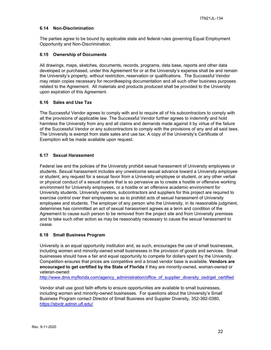## <span id="page-21-0"></span>**6.14 Non-Discrimination**

The parties agree to be bound by applicable state and federal rules governing Equal Employment Opportunity and Non-Discrimination.

## <span id="page-21-1"></span>**6.15 Ownership of Documents**

All drawings, maps, sketches, documents, records, programs, data base, reports and other data developed or purchased, under this Agreement for or at the University's expense shall be and remain the University's property, without restriction, reservation or qualifications. The Successful Vendor may retain copies necessary for recordkeeping documentation and all such other business purposes related to the Agreement. All materials and products produced shall be provided to the University upon expiration of this Agreement.

## <span id="page-21-2"></span>**6.16 Sales and Use Tax**

The Successful Vendor agrees to comply with and to require all of his subcontractors to comply with all the provisions of applicable law. The Successful Vendor further agrees to indemnify and hold harmless the University from any and all claims and demands made against it by virtue of the failure of the Successful Vendor or any subcontractors to comply with the provisions of any and all said laws. The University is exempt from state sales and use tax. A copy of the University's Certificate of Exemption will be made available upon request.

## <span id="page-21-3"></span>**6.17 Sexual Harassment**

Federal law and the policies of the University prohibit sexual harassment of University employees or students. Sexual harassment includes any unwelcome sexual advance toward a University employee or student, any request for a sexual favor from a University employee or student, or any other verbal or physical conduct of a sexual nature that is so pervasive as to create a hostile or offensive working environment for University employees, or a hostile or an offensive academic environment for University students. University vendors, subcontractors and suppliers for this project are required to exercise control over their employees so as to prohibit acts of sexual harassment of University employees and students. The employer of any person who the University, in its reasonable judgment, determines has committed an act of sexual harassment agrees as a term and condition of the Agreement to cause such person to be removed from the project site and from University premises and to take such other action as may be reasonably necessary to cause the sexual harassment to cease.

## <span id="page-21-4"></span>**6.18 Small Business Program**

University is an equal opportunity institution and, as such, encourages the use of small businesses, including women and minority-owned small businesses in the provision of goods and services. Small businesses should have a fair and equal opportunity to compete for dollars spent by the University. Competition ensures that prices are competitive and a broad vendor base is available. **Vendors are encouraged to get certified by the State of Florida** if they are minority-owned, woman-owned or veteran-owned:

[http://www.dms.myflorida.com/agency\\_administration/office\\_of\\_supplier\\_diversity\\_osd/get\\_certified](http://www.dms.myflorida.com/agency_administration/office_of_supplier_diversity_osd/get_certified)

Vendor shall use good faith efforts to ensure opportunities are available to small businesses, including women and minority-owned businesses. For questions about the University's Small Business Program contact Director of Small Business and Supplier Diversity, 352-392-0380, <https://sbvdr.admin.ufl.edu/>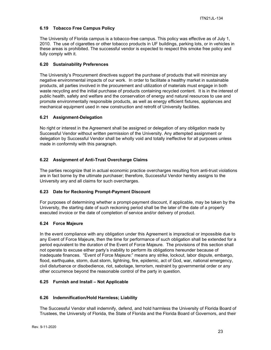## <span id="page-22-0"></span>**6.19 Tobacco Free Campus Policy**

The University of Florida campus is a tobacco-free campus. This policy was effective as of July 1, 2010. The use of cigarettes or other tobacco products in UF buildings, parking lots, or in vehicles in these areas is prohibited. The successful vendor is expected to respect this smoke free policy and fully comply with it.

## <span id="page-22-1"></span>**6.20 Sustainability Preferences**

The University's Procurement directives support the purchase of products that will minimize any negative environmental impacts of our work. In order to facilitate a healthy market in sustainable products, all parties involved in the procurement and utilization of materials must engage in both waste recycling and the initial purchase of products containing recycled content. It is in the interest of public health, safety and welfare and the conservation of energy and natural resources to use and promote environmentally responsible products, as well as energy efficient fixtures, appliances and mechanical equipment used in new construction and retrofit of University facilities.

## <span id="page-22-2"></span>**6.21 Assignment-Delegation**

No right or interest in the Agreement shall be assigned or delegation of any obligation made by Successful Vendor without written permission of the University. Any attempted assignment or delegation by Successful Vendor shall be wholly void and totally ineffective for all purposes unless made in conformity with this paragraph.

## <span id="page-22-3"></span>**6.22 Assignment of Anti-Trust Overcharge Claims**

The parties recognize that in actual economic practice overcharges resulting from anti-trust violations are in fact borne by the ultimate purchaser; therefore, Successful Vendor hereby assigns to the University any and all claims for such overcharges.

## <span id="page-22-4"></span>**6.23 Date for Reckoning Prompt-Payment Discount**

For purposes of determining whether a prompt-payment discount, if applicable, may be taken by the University, the starting date of such reckoning period shall be the later of the date of a properly executed invoice or the date of completion of service and/or delivery of product.

## <span id="page-22-5"></span>**6.24 Force Majeure**

In the event compliance with any obligation under this Agreement is impractical or impossible due to any Event of Force Majeure, then the time for performance of such obligation shall be extended for a period equivalent to the duration of the Event of Force Majeure. The provisions of this section shall not operate to excuse either party's inability to perform its obligations hereunder because of inadequate finances. "Event of Force Majeure:" means any strike, lockout, labor dispute, embargo, flood, earthquake, storm, dust storm, lightning, fire, epidemic, act of God, war, national emergency, civil disturbance or disobedience, riot, sabotage, terrorism, restraint by governmental order or any other occurrence beyond the reasonable control of the party in question.

## <span id="page-22-6"></span>**6.25 Furnish and Install – Not Applicable**

## <span id="page-22-7"></span>**6.26 Indemnification/Hold Harmless; Liability**

The Successful Vendor shall indemnify, defend, and hold harmless the University of Florida Board of Trustees, the University of Florida, the State of Florida and the Florida Board of Governors, and their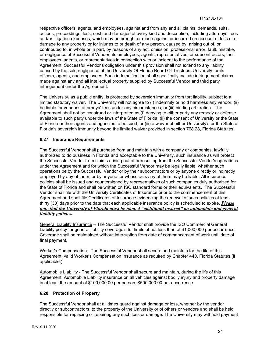respective officers, agents, and employees, against and from any and all claims, demands, suits, actions, proceedings, loss, cost, and damages of every kind and description, including attorneys' fees and/or litigation expenses, which may be brought or made against or incurred on account of loss of or damage to any property or for injuries to or death of any person, caused by, arising out of, or contributed to, in whole or in part, by reasons of any act, omission, professional error, fault, mistake, or negligence of Successful Vendor, its employees, agents, representatives, or subcontractors, their employees, agents, or representatives in connection with or incident to the performance of the Agreement. Successful Vendor's obligation under this provision shall not extend to any liability caused by the sole negligence of the University Of Florida Board Of Trustees, University, or its officers, agents, and employees. Such indemnification shall specifically include infringement claims made against any and all intellectual property supplied by Successful Vendor and third party infringement under the Agreement.

The University, as a public entity, is protected by sovereign immunity from tort liability, subject to a limited statutory waiver. The University will not agree to (i) indemnify or hold harmless any vendor; (ii) be liable for vendor's attorneys' fees under any circumstances; or (iii) binding arbitration. The Agreement shall not be construed or interpreted as (i) denying to either party any remedy or defense available to such party under the laws of the State of Florida; (ii) the consent of University or the State of Florida or their agents and agencies to be sued; or (iii) a waiver of either University's or the State of Florida's sovereign immunity beyond the limited waiver provided in section 768.28, Florida Statutes.

## <span id="page-23-0"></span>**6.27 Insurance Requirements**

The Successful Vendor shall purchase from and maintain with a company or companies, lawfully authorized to do business in Florida and acceptable to the University, such insurance as will protect the Successful Vendor from claims arising out of or resulting from the Successful Vendor's operations under the Agreement and for which the Successful Vendor may be legally liable, whether such operations be by the Successful Vendor or by their subcontractors or by anyone directly or indirectly employed by any of them, or by anyone for whose acts any of them may be liable. All insurance policies shall be issued and countersigned by representatives of such companies duly authorized for the State of Florida and shall be written on ISO standard forms or their equivalents. The Successful Vendor shall file with the University Certificates of Insurance prior to the commencement of this Agreement and shall file Certificates of Insurance evidencing the renewal of such policies at least thirty (30) days prior to the date that each applicable insurance policy is scheduled to expire. *Please note that the University of Florida must be named "additional insured" on automobile and general liability policies.*

General Liability Insurance – The Successful Vendor shall provide the ISO Commercial General Liability policy for general liability coverage's for limits of not less than of \$1,000,000 per occurrence. Coverage shall be maintained without interruption from date of commencement of work until date of final payment.

Worker's Compensation - The Successful Vendor shall secure and maintain for the life of this Agreement, valid Worker's Compensation Insurance as required by Chapter 440, Florida Statutes (if applicable.)

Automobile Liability - The Successful Vendor shall secure and maintain, during the life of this Agreement, Automobile Liability insurance on all vehicles against bodily injury and property damage in at least the amount of \$100,000.00 per person, \$500,000.00 per occurrence.

## <span id="page-23-1"></span>**6.28 Protection of Property**

The Successful Vendor shall at all times guard against damage or loss, whether by the vendor directly or subcontractors, to the property of the University or of others or vendors and shall be held responsible for replacing or repairing any such loss or damage. The University may withhold payment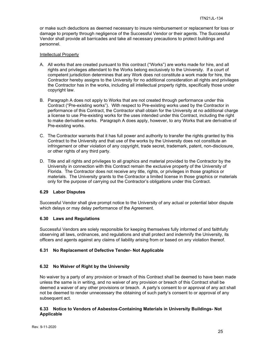or make such deductions as deemed necessary to insure reimbursement or replacement for loss or damage to property through negligence of the Successful Vendor or their agents. The Successful Vendor shall provide all barricades and take all necessary precautions to protect buildings and personnel.

## Intellectual Property

- A. All works that are created pursuant to this contract ("Works") are works made for hire, and all rights and privileges attendant to the Works belong exclusively to the University. If a court of competent jurisdiction determines that any Work does not constitute a work made for hire, the Contractor hereby assigns to the University for no additional consideration all rights and privileges the Contractor has in the works, including all intellectual property rights, specifically those under copyright law.
- B. Paragraph A does not apply to Works that are not created through performance under this Contract ("Pre-existing works"). With respect to Pre-existing works used by the Contractor in performance of this Contract, the Contractor shall obtain for the University at no additional charge a license to use Pre-existing works for the uses intended under this Contract, including the right to make derivative works. Paragraph A does apply, however, to any Works that are derivative of Pre-existing works.
- C. The Contractor warrants that it has full power and authority to transfer the rights granted by this Contract to the University and that use of the works by the University does not constitute an infringement or other violation of any copyright, trade secret, trademark, patent, non-disclosure, or other rights of any third party.
- D. Title and all rights and privileges to all graphics and material provided to the Contractor by the University in connection with this Contract remain the exclusive property of the University of Florida. The Contractor does not receive any title, rights, or privileges in those graphics or materials. The University grants to the Contractor a limited license in those graphics or materials only for the purpose of carrying out the Contractor's obligations under this Contract.

## <span id="page-24-0"></span>**6.29 Labor Disputes**

Successful Vendor shall give prompt notice to the University of any actual or potential labor dispute which delays or may delay performance of the Agreement.

## <span id="page-24-1"></span>**6.30 Laws and Regulations**

Successful Vendors are solely responsible for keeping themselves fully informed of and faithfully observing all laws, ordinances, and regulations and shall protect and indemnify the University, its officers and agents against any claims of liability arising from or based on any violation thereof.

## <span id="page-24-2"></span>**6.31 No Replacement of Defective Tender- Not Applicable**

## <span id="page-24-3"></span>**6.32 No Waiver of Right by the University**

No waiver by a party of any provision or breach of this Contract shall be deemed to have been made unless the same is in writing, and no waiver of any provision or breach of this Contract shall be deemed a waiver of any other provisions or breach. A party's consent to or approval of any act shall not be deemed to render unnecessary the obtaining of such party's consent to or approval of any subsequent act.

## <span id="page-24-4"></span>**6.33 Notice to Vendors of Asbestos-Containing Materials in University Buildings- Not Applicable**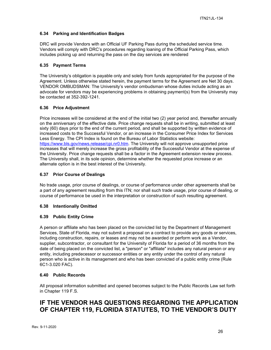## <span id="page-25-0"></span>**6.34 Parking and Identification Badges**

DRC will provide Vendors with an Official UF Parking Pass during the scheduled service time. Vendors will comply with DRC's procedures regarding loaning of the Official Parking Pass, which includes picking up and returning the pass on the day services are rendered

## <span id="page-25-1"></span>**6.35 Payment Terms**

The University's obligation is payable only and solely from funds appropriated for the purpose of the Agreement. Unless otherwise stated herein, the payment terms for the Agreement are Net 30 days. VENDOR OMBUDSMAN: The University's vendor ombudsman whose duties include acting as an advocate for vendors may be experiencing problems in obtaining payment(s) from the University may be contacted at 352-392-1241.

## <span id="page-25-2"></span>**6.36 Price Adjustment**

Price increases will be considered at the end of the initial two (2) year period and, thereafter annually on the anniversary of the effective date. Price change requests shall be in writing, submitted at least sixty (60) days prior to the end of the current period, and shall be supported by written evidence of increased costs to the Successful Vendor, or an increase in the Consumer Price Index for Services Less Energy. The CPI Index is found on the Bureau of Labor Statistics website: [https://www.bls.gov/news.release/cpi.nr0.htm.](https://www.bls.gov/news.release/cpi.nr0.htm) The University will not approve unsupported price increases that will merely increase the gross profitability of the Successful Vendor at the expense of the University. Price change requests shall be a factor in the Agreement extension review process. The University shall, in its sole opinion, determine whether the requested price increase or an alternate option is in the best interest of the University.

## <span id="page-25-3"></span>**6.37 Prior Course of Dealings**

No trade usage, prior course of dealings, or course of performance under other agreements shall be a part of any agreement resulting from this ITN; nor shall such trade usage, prior course of dealing, or course of performance be used in the interpretation or construction of such resulting agreement.

## <span id="page-25-4"></span>**6.38 Intentionally Omitted**

## <span id="page-25-5"></span>**6.39 Public Entity Crime**

A person or affiliate who has been placed on the convicted list by the Department of Management Services, State of Florida, may not submit a proposal on a contract to provide any goods or services, including construction, repairs, or leases and may not be awarded or perform work as a Vendor, supplier, subcontractor, or consultant for the University of Florida for a period of 36 months from the date of being placed on the convicted list, a "person" or "affiliate" includes any natural person or any entity, including predecessor or successor entities or any entity under the control of any natural person who is active in its management and who has been convicted of a public entity crime (Rule 6C1-3.020 FAC).

## <span id="page-25-6"></span>**6.40 Public Records**

All proposal information submitted and opened becomes subject to the Public Records Law set forth in Chapter 119 F.S.

## **IF THE VENDOR HAS QUESTIONS REGARDING THE APPLICATION OF CHAPTER 119, FLORIDA STATUTES, TO THE VENDOR'S DUTY**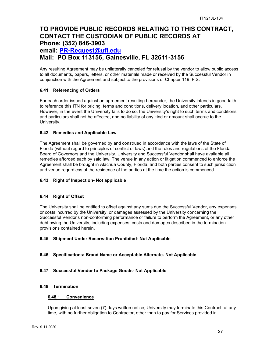## **TO PROVIDE PUBLIC RECORDS RELATING TO THIS CONTRACT, CONTACT THE CUSTODIAN OF PUBLIC RECORDS AT Phone: (352) 846-3903 email: [PR-Request@ufl.edu](mailto:PR-Request@ufl.edu) Mail: PO Box 113156, Gainesville, FL 32611-3156**

Any resulting Agreement may be unilaterally canceled for refusal by the vendor to allow public access to all documents, papers, letters, or other materials made or received by the Successful Vendor in conjunction with the Agreement and subject to the provisions of Chapter 119. F.S.

## <span id="page-26-0"></span>**6.41 Referencing of Orders**

For each order issued against an agreement resulting hereunder, the University intends in good faith to reference this ITN for pricing, terms and conditions, delivery location, and other particulars. However, in the event the University fails to do so, the University's right to such terms and conditions, and particulars shall not be affected, and no liability of any kind or amount shall accrue to the University.

## <span id="page-26-1"></span>**6.42 Remedies and Applicable Law**

The Agreement shall be governed by and construed in accordance with the laws of the State of Florida (without regard to principles of conflict of laws) and the rules and regulations of the Florida Board of Governors and the University. University and Successful Vendor shall have available all remedies afforded each by said law. The venue in any action or litigation commenced to enforce the Agreement shall be brought in Alachua County, Florida, and both parties consent to such jurisdiction and venue regardless of the residence of the parties at the time the action is commenced.

## <span id="page-26-2"></span>**6.43 Right of Inspection- Not applicable**

## <span id="page-26-3"></span>**6.44 Right of Offset**

The University shall be entitled to offset against any sums due the Successful Vendor, any expenses or costs incurred by the University, or damages assessed by the University concerning the Successful Vendor's non-conforming performance or failure to perform the Agreement, or any other debt owing the University, including expenses, costs and damages described in the termination provisions contained herein.

## <span id="page-26-4"></span>**6.45 Shipment Under Reservation Prohibited- Not Applicable**

## <span id="page-26-5"></span>**6.46 Specifications: Brand Name or Acceptable Alternate- Not Applicable**

## <span id="page-26-6"></span>**6.47 Successful Vendor to Package Goods- Not Applicable**

## <span id="page-26-8"></span><span id="page-26-7"></span>**6.48 Termination**

## **6.48.1 Convenience**

Upon giving at least seven (7) days written notice, University may terminate this Contract, at any time, with no further obligation to Contractor, other than to pay for Services provided in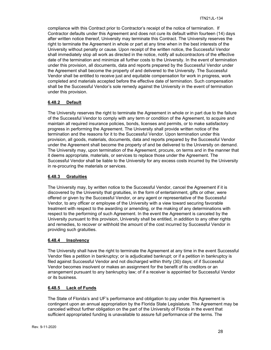compliance with this Contract prior to Contractor's receipt of the notice of termination. If Contractor defaults under this Agreement and does not cure its default within fourteen (14) days after written notice thereof, University may terminate this Contract. The University reserves the right to terminate the Agreement in whole or part at any time when in the best interests of the University without penalty or cause. Upon receipt of the written notice, the Successful Vendor shall immediately stop all work as directed in the notice, notify all subcontractors of the effective date of the termination and minimize all further costs to the University. In the event of termination under this provision, all documents, data and reports prepared by the Successful Vendor under the Agreement shall become the property of and delivered to the University. The Successful Vendor shall be entitled to receive just and equitable compensation for work in progress, work completed and materials accepted before the effective date of termination. Such compensation shall be the Successful Vendor's sole remedy against the University in the event of termination under this provision.

## <span id="page-27-0"></span>**6.48.2 Default**

The University reserves the right to terminate the Agreement in whole or in part due to the failure of the Successful Vendor to comply with any term or condition of the Agreement, to acquire and maintain all required insurance policies, bonds, licenses and permits, or to make satisfactory progress in performing the Agreement. The University shall provide written notice of the termination and the reasons for it to the Successful Vendor. Upon termination under this provision, all goods, materials, documents, data and reports prepared by the Successful Vendor under the Agreement shall become the property of and be delivered to the University on demand. The University may, upon termination of the Agreement, procure, on terms and in the manner that it deems appropriate, materials, or services to replace those under the Agreement. The Successful Vendor shall be liable to the University for any excess costs incurred by the University in re-procuring the materials or services.

## <span id="page-27-1"></span>**6.48.3 Gratuities**

The University may, by written notice to the Successful Vendor, cancel the Agreement if it is discovered by the University that gratuities, in the form of entertainment, gifts or other, were offered or given by the Successful Vendor, or any agent or representative of the Successful Vendor, to any officer or employee of the University with a view toward securing favorable treatment with respect to the awarding or amending, or the making of any determinations with respect to the performing of such Agreement. In the event the Agreement is canceled by the University pursuant to this provision, University shall be entitled, in addition to any other rights and remedies, to recover or withhold the amount of the cost incurred by Successful Vendor in providing such gratuities.

## <span id="page-27-2"></span>**6.48.4 Insolvency**

The University shall have the right to terminate the Agreement at any time in the event Successful Vendor files a petition in bankruptcy; or is adjudicated bankrupt; or if a petition in bankruptcy is filed against Successful Vendor and not discharged within thirty (30) days; of if Successful Vendor becomes insolvent or makes an assignment for the benefit of its creditors or an arrangement pursuant to any bankruptcy law; of if a receiver is appointed for Successful Vendor or its business.

## <span id="page-27-3"></span>**6.48.5 Lack of Funds**

The State of Florida's and UF's performance and obligation to pay under this Agreement is contingent upon an annual appropriation by the Florida State Legislature. The Agreement may be canceled without further obligation on the part of the University of Florida in the event that sufficient appropriated funding is unavailable to assure full performance of the terms. The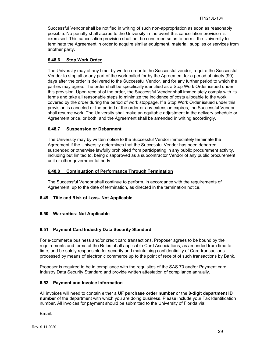Successful Vendor shall be notified in writing of such non-appropriation as soon as reasonably possible. No penalty shall accrue to the University in the event this cancellation provision is exercised. This cancellation provision shall not be construed so as to permit the University to terminate the Agreement in order to acquire similar equipment, material, supplies or services from another party.

## <span id="page-28-0"></span>**6.48.6 Stop Work Order**

The University may at any time, by written order to the Successful vendor, require the Successful Vendor to stop all or any part of the work called for by the Agreement for a period of ninety (90) days after the order is delivered to the Successful Vendor, and for any further period to which the parties may agree. The order shall be specifically identified as a Stop Work Order issued under this provision. Upon receipt of the order, the Successful Vendor shall immediately comply with its terms and take all reasonable steps to minimize the incidence of costs allocable to the work covered by the order during the period of work stoppage. If a Stop Work Order issued under this provision is canceled or the period of the order or any extension expires, the Successful Vendor shall resume work. The University shall make an equitable adjustment in the delivery schedule or Agreement price, or both, and the Agreement shall be amended in writing accordingly.

## <span id="page-28-1"></span>**6.48.7 Suspension or Debarment**

The University may by written notice to the Successful Vendor immediately terminate the Agreement if the University determines that the Successful Vendor has been debarred, suspended or otherwise lawfully prohibited from participating in any public procurement activity, including but limited to, being disapproved as a subcontractor Vendor of any public procurement unit or other governmental body.

#### <span id="page-28-2"></span>**6.48.8 Continuation of Performance Through Termination**

The Successful Vendor shall continue to perform, in accordance with the requirements of Agreement, up to the date of termination, as directed in the termination notice.

## <span id="page-28-3"></span>**6.49 Title and Risk of Loss- Not Applicable**

## <span id="page-28-4"></span>**6.50 Warranties- Not Applicable**

## <span id="page-28-5"></span>**6.51 Payment Card Industry Data Security Standard.**

For e-commerce business and/or credit card transactions, Proposer agrees to be bound by the requirements and terms of the Rules of all applicable Card Associations, as amended from time to time, and be solely responsible for security and maintaining confidentiality of Card transactions processed by means of electronic commerce up to the point of receipt of such transactions by Bank.

Proposer is required to be in compliance with the requisites of the SAS 70 and/or Payment card Industry Data Security Standard and provide written attestation of compliance annually.

## <span id="page-28-6"></span>**6.52 Payment and Invoice Information**

All invoices will need to contain either a **UF purchase order number** or the **8-digit department ID number** of the department with which you are doing business. Please include your Tax Identification number. All invoices for payment should be submitted to the University of Florida via:

Email: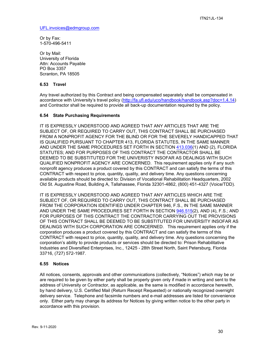[UFL.invoices@edmgroup.com](mailto:UFL.invoices@edmgroup.com)

Or by Fax: 1-570-496-5411

Or by Mail: University of Florida Attn: Accounts Payable PO Box 3357 Scranton, PA 18505

## <span id="page-29-0"></span>**6.53 Travel**

Any travel authorized by this Contract and being compensated separately shall be compensated in accordance with University's travel policy [\(http://fa.ufl.edu/uco/handbook/handbook.asp?doc=1.4.14\)](http://fa.ufl.edu/uco/handbook/handbook.asp?doc=1.4.14) and Contractor shall be required to provide all back-up documentation required by the policy.

## <span id="page-29-1"></span>**6.54 State Purchasing Requirements**

IT IS EXPRESSLY UNDERSTOOD AND AGREED THAT ANY ARTICLES THAT ARE THE SUBJECT OF, OR REQUIRED TO CARRY OUT, THIS CONTRACT SHALL BE PURCHASED FROM A NONPROFIT AGENCY FOR THE BLIND OR FOR THE SEVERELY HANDICAPPED THAT IS QUALIFIED PURSUANT TO CHAPTER 413, FLORIDA STATUTES, IN THE SAME MANNER AND UNDER THE SAME PROCEDURES SET FORTH IN SECTION [413.036\(](http://www.leg.state.fl.us/STATUTES/index.cfm?App_mode=Display_Statute&Search_String=&URL=Ch0413/Sec036.HTM)1) AND (2), FLORIDA STATUTES; AND FOR PURPOSES OF THIS CONTRACT THE CONTRACTOR SHALL BE DEEMED TO BE SUBSTITUTED FOR THE UNIVERISTY INSOFAR AS DEALINGS WITH SUCH QUALIFIED NONPROFIT AGENCY ARE CONCERNED. This requirement applies only if any such nonprofit agency produces a product covered by this CONTRACT and can satisfy the terms of this CONTRACT with respect to price, quantity, quality, and delivery time. Any questions concerning available products should be directed to: Division of Vocational Rehabilitation Headquarters, 2002 Old St. Augustine Road, Building A, Tallahassee, Florida 32301-4862, (800) 451-4327 (Voice/TDD).

IT IS EXPRESSLY UNDERSTOOD AND AGREED THAT ANY ARTICLES WHICH ARE THE SUBJECT OF, OR REQUIRED TO CARRY OUT, THIS CONTRACT SHALL BE PURCHASED FROM THE CORPORATION IDENTIFIED UNDER CHAPTER 946, F.S., IN THE SAME MANNER AND UNDER THE SAME PROCEDURES SET FORTH IN SECTION [946.515\(](http://www.leg.state.fl.us/STATUTES/index.cfm?App_mode=Display_Statute&Search_String=&URL=Ch0946/Sec515.HTM)2), AND (4), F.S.; AND FOR PURPOSES OF THIS CONTRACT THE CONTRACTOR CARRYING OUT THE PROVISIONS OF THIS CONTRACT SHALL BE DEEMED TO BE SUBSTITUTED FOR UNIVERSITY INSOFAR AS DEALINGS WITH SUCH CORPORATION ARE CONCERNED. This requirement applies only if the corporation produces a product covered by this CONTRACT and can satisfy the terms of this CONTRACT with respect to price, quantity, quality, and delivery time. Any questions concerning the corporation's ability to provide products or services should be directed to: Prison Rehabilitative Industries and Diversified Enterprises, Inc., 12425 - 28th Street North, Saint Petersburg, Florida 33716, (727) 572-1987.

## <span id="page-29-2"></span>**6.55 Notices**

All notices, consents, approvals and other communications (collectively, "Notices") which may be or are required to be given by either party shall be properly given only if made in writing and sent to the address of University or Contractor, as applicable, as the same is modified in accordance herewith, by hand delivery, U.S. Certified Mail (Return Receipt Requested) or nationally recognized overnight delivery service. Telephone and facsimile numbers and e-mail addresses are listed for convenience only. Either party may change its address for Notices by giving written notice to the other party in accordance with this provision.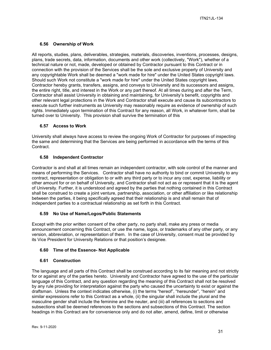## <span id="page-30-0"></span>**6.56 Ownership of Work**

All reports, studies, plans, deliverables, strategies, materials, discoveries, inventions, processes, designs, plans, trade secrets, data, information, documents and other work (collectively, "Work"), whether of a technical nature or not, made, developed or obtained by Contractor pursuant to this Contract or in connection with the provision of the Services shall be the sole and exclusive property of University and any copyrightable Work shall be deemed a "work made for hire" under the United States copyright laws. Should such Work not constitute a "work made for hire" under the United States copyright laws, Contractor hereby grants, transfers, assigns, and conveys to University and its successors and assigns, the entire right, title, and interest in the Work or any part thereof. At all times during and after the Term, Contractor shall assist University in obtaining and maintaining, for University's benefit, copyrights and other relevant legal protections in the Work and Contractor shall execute and cause its subcontractors to execute such further instruments as University may reasonably require as evidence of ownership of such rights. Immediately upon termination of this Contract for any reason, all Work, in whatever form, shall be turned over to University. This provision shall survive the termination of this

## <span id="page-30-1"></span>**6.57 Access to Work**

University shall always have access to review the ongoing Work of Contractor for purposes of inspecting the same and determining that the Services are being performed in accordance with the terms of this Contract.

## <span id="page-30-2"></span>**6.58 Independent Contractor**

Contractor is and shall at all times remain an independent contractor, with sole control of the manner and means of performing the Services. Contractor shall have no authority to bind or commit University to any contract, representation or obligation to or with any third party or to incur any cost, expense, liability or other amount for or on behalf of University, and Contractor shall not act as or represent that it is the agent of University. Further, it is understood and agreed by the parties that nothing contained in this Contract shall be construed to create a joint venture, partnership, association, or other affiliation or like relationship between the parties, it being specifically agreed that their relationship is and shall remain that of independent parties to a contractual relationship as set forth in this Contract.

## <span id="page-30-3"></span>**6.59 No Use of Name/Logos/Public Statements**

Except with the prior written consent of the other party, no party shall, make any press or media announcement concerning this Contract, or use the name, logos, or trademarks of any other party, or any version, abbreviation, or representation of them. In the case of University, consent must be provided by its Vice President for University Relations or that position's designee.

## <span id="page-30-4"></span>**6.60 Time of the Essence- Not Applicable**

#### <span id="page-30-5"></span>**6.61 Construction**

The language and all parts of this Contract shall be construed according to its fair meaning and not strictly for or against any of the parties hereto. University and Contractor have agreed to the use of the particular language of this Contract, and any question regarding the meaning of this Contract shall not be resolved by any rule providing for interpretation against the party who caused the uncertainty to exist or against the draftsman. Unless the context indicates otherwise, (i) the terms "hereof", "hereunder", "herein" and similar expressions refer to this Contract as a whole, (ii) the singular shall include the plural and the masculine gender shall include the feminine and the neuter, and (iii) all references to sections and subsections shall be deemed references to the sections and subsections of this Contract. The section headings in this Contract are for convenience only and do not alter, amend, define, limit or otherwise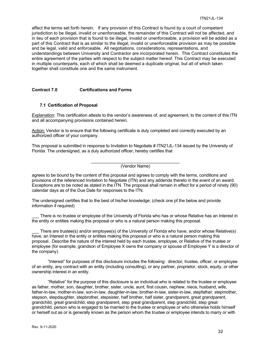affect the terms set forth herein. If any provision of this Contract is found by a court of competent jurisdiction to be illegal, invalid or unenforceable, the remainder of this Contract will not be affected, and in lieu of each provision that is found to be illegal, invalid or unenforceable, a provision will be added as a part of this Contract that is as similar to the illegal, invalid or unenforceable provision as may be possible and be legal, valid and enforceable. All negotiations, considerations, representations, and understandings between University and Contractor are incorporated herein. This Contract constitutes the entire agreement of the parties with respect to the subject matter hereof. This Contract may be executed in multiple counterparts, each of which shall be deemed a duplicate original, but all of which taken together shall constitute one and the same instrument.

## <span id="page-31-0"></span>**Contract 7.0 Certifications and Forms**

#### <span id="page-31-1"></span>**7.1 Certification of Proposal**

Explanation: This certification attests to the vendor's awareness of, and agreement, to the content of this ITN and all accompanying provisions contained herein.

Action: Vendor is to ensure that the following certificate is duly completed and correctly executed by an authorized officer of your company.

This proposal is submitted in response to Invitation to Negotiate # ITN21JL-134 issued by the University of Florida. The undersigned, as a duly authorized officer, hereby certifies that

> \_\_\_\_\_\_\_\_\_\_\_\_\_\_\_\_\_\_\_\_\_\_\_\_\_\_\_\_\_\_\_\_\_\_\_\_\_ (Vendor Name)

agrees to be bound by the content of this proposal and agrees to comply with the terms, conditions and provisions of the referenced Invitation to Negotiate (ITN) and any addenda thereto in the event of an award. Exceptions are to be noted as stated in the ITN. The proposal shall remain in effect for a period of ninety (90) calendar days as of the Due Date for responses to the ITN.

The undersigned certifies that to the best of his/her knowledge: (check one pf the below and provide information if required)

There is no trustee or employee of the University of Florida who has or whose Relative has an Interest in the entity or entities making this proposal or who is a natural person making this proposal.

There are trustee(s) and/or employee(s) of the University of Florida who have, and/or whose Relative(s) have, an Interest in the entity or entities making this proposal or who is a natural person making this proposal. Describe the nature of the interest held by each trustee, employee, or Relative of the trustee or employee (for example, grandson of Employee X owns the company or spouse of Employee Y is a director of the company).

"Interest" for purposes of this disclosure includes the following: director, trustee, officer, or employee of an entity, any contract with an entity (including consulting), or any partner, proprietor, stock, equity, or other ownership interest in an entity.

"Relative" for the purpose of this disclosure is an individual who is related to the trustee or employee as father, mother, son, daughter, brother, sister, uncle, aunt, first cousin, nephew, niece, husband, wife, father-in-law, mother-in-law, son-in-law, daughter-in-law, brother-in-law, sister-in-law, stepfather, stepmother, stepson, stepdaughter, stepbrother, stepsister, half brother, half sister, grandparent, great grandparent, grandchild, great grandchild, step grandparent, step great grandparent, step grandchild, step great grandchild, person who is engaged to be married to the trustee or employee or who otherwise holds himself or herself out as or is generally known as the person whom the trustee or employee intends to marry or with